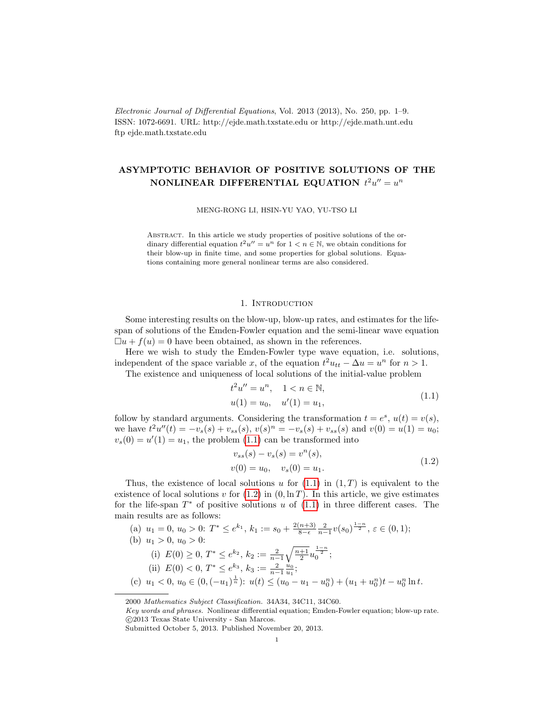Electronic Journal of Differential Equations, Vol. 2013 (2013), No. 250, pp. 1–9. ISSN: 1072-6691. URL: http://ejde.math.txstate.edu or http://ejde.math.unt.edu ftp ejde.math.txstate.edu

# ASYMPTOTIC BEHAVIOR OF POSITIVE SOLUTIONS OF THE NONLINEAR DIFFERENTIAL EQUATION  $t^2u'' = u^n$

MENG-RONG LI, HSIN-YU YAO, YU-TSO LI

Abstract. In this article we study properties of positive solutions of the ordinary differential equation  $t^2u'' = u^n$  for  $1 \lt n \in \mathbb{N}$ , we obtain conditions for their blow-up in finite time, and some properties for global solutions. Equations containing more general nonlinear terms are also considered.

## 1. INTRODUCTION

Some interesting results on the blow-up, blow-up rates, and estimates for the lifespan of solutions of the Emden-Fowler equation and the semi-linear wave equation  $\Box u + f(u) = 0$  have been obtained, as shown in the references.

Here we wish to study the Emden-Fowler type wave equation, i.e. solutions, independent of the space variable x, of the equation  $t^2u_{tt} - \Delta u = u^n$  for  $n > 1$ .

The existence and uniqueness of local solutions of the initial-value problem

<span id="page-0-0"></span>
$$
t2u'' = un, 1 < n \in \mathbb{N},
$$
  
 
$$
u(1) = u_0, u'(1) = u_1,
$$
 (1.1)

follow by standard arguments. Considering the transformation  $t = e^s$ ,  $u(t) = v(s)$ , we have  $t^2u''(t) = -v_s(s) + v_{ss}(s), v(s)^n = -v_s(s) + v_{ss}(s)$  and  $v(0) = u(1) = u_0$ ;  $v_s(0) = u'(1) = u_1$ , the problem [\(1.1\)](#page-0-0) can be transformed into

<span id="page-0-1"></span>
$$
v_{ss}(s) - v_s(s) = v^n(s),
$$
  
\n
$$
v(0) = u_0, \quad v_s(0) = u_1.
$$
\n(1.2)

Thus, the existence of local solutions u for  $(1.1)$  in  $(1, T)$  is equivalent to the existence of local solutions v for  $(1.2)$  in  $(0, \ln T)$ . In this article, we give estimates for the life-span  $T^*$  of positive solutions u of  $(1.1)$  in three different cases. The main results are as follows:

(a) 
$$
u_1 = 0
$$
,  $u_0 > 0$ :  $T^* \le e^{k_1}$ ,  $k_1 := s_0 + \frac{2(n+3)}{8-\epsilon} \frac{2}{n-1} v(s_0)^{\frac{1-n}{2}}$ ,  $\varepsilon \in (0, 1)$ ;  
\n(b)  $u_1 > 0$ ,  $u_0 > 0$ :  
\n(i)  $E(0) \ge 0$ ,  $T^* \le e^{k_2}$ ,  $k_2 := \frac{2}{n-1} \sqrt{\frac{n+1}{2}} u_0^{\frac{1-n}{2}}$ ;  
\n(ii)  $E(0) < 0$ ,  $T^* \le e^{k_3}$ ,  $k_3 := \frac{2}{n-1} \frac{u_0}{u_1}$ ;  
\n(c)  $u_1 < 0$ ,  $u_0 \in (0, (-u_1)^{\frac{1}{n}})$ :  $u(t) \le (u_0 - u_1 - u_0^n) + (u_1 + u_0^n)t - u_0^n \ln t$ .

2000 Mathematics Subject Classification. 34A34, 34C11, 34C60.

Key words and phrases. Nonlinear differential equation; Emden-Fowler equation; blow-up rate. c 2013 Texas State University - San Marcos.

Submitted October 5, 2013. Published November 20, 2013.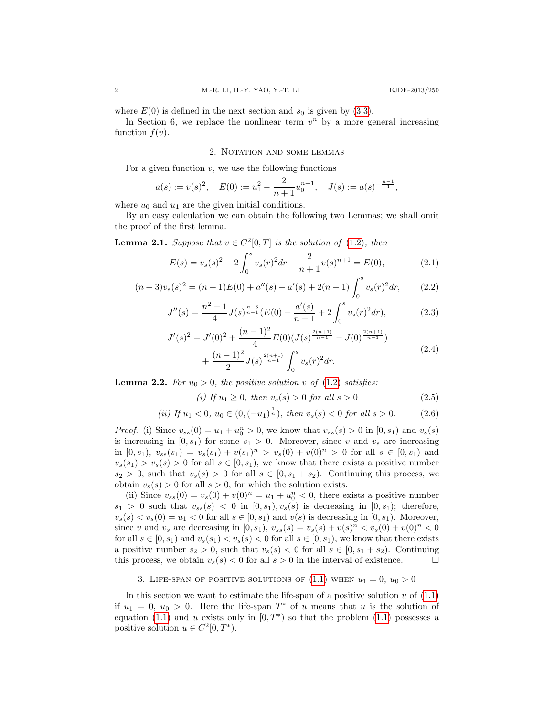where  $E(0)$  is defined in the next section and  $s_0$  is given by [\(3.3\)](#page-2-0).

In Section 6, we replace the nonlinear term  $v^n$  by a more general increasing function  $f(v)$ .

#### <span id="page-1-2"></span>2. NOTATION AND SOME LEMMAS

For a given function  $v$ , we use the following functions

$$
a(s) := v(s)^2
$$
,  $E(0) := u_1^2 - \frac{2}{n+1}u_0^{n+1}$ ,  $J(s) := a(s)^{-\frac{n-1}{4}}$ ,

where  $u_0$  and  $u_1$  are the given initial conditions.

By an easy calculation we can obtain the following two Lemmas; we shall omit the proof of the first lemma.

<span id="page-1-1"></span>**Lemma 2.1.** Suppose that  $v \in C^2[0,T]$  is the solution of [\(1.2\)](#page-0-1), then

$$
E(s) = v_s(s)^2 - 2\int_0^s v_s(r)^2 dr - \frac{2}{n+1}v(s)^{n+1} = E(0),
$$
\n(2.1)

$$
(n+3)v_s(s)^2 = (n+1)E(0) + a''(s) - a'(s) + 2(n+1)\int_0^s v_s(r)^2 dr,
$$
 (2.2)

$$
J''(s) = \frac{n^2 - 1}{4} J(s)^{\frac{n+3}{n-1}} (E(0) - \frac{a'(s)}{n+1} + 2 \int_0^s v_s(r)^2 dr), \tag{2.3}
$$

$$
J'(s)^2 = J'(0)^2 + \frac{(n-1)^2}{4} E(0) (J(s)^{\frac{2(n+1)}{n-1}} - J(0)^{\frac{2(n+1)}{n-1}}) + \frac{(n-1)^2}{2} J(s)^{\frac{2(n+1)}{n-1}} \int_0^s v_s(r)^2 dr.
$$
 (2.4)

**Lemma 2.2.** For  $u_0 > 0$ , the positive solution v of [\(1.2\)](#page-0-1) satisfies:

<span id="page-1-3"></span><span id="page-1-0"></span>(i) If 
$$
u_1 \ge 0
$$
, then  $v_s(s) > 0$  for all  $s > 0$   $(2.5)$ 

(*ii*) If 
$$
u_1 < 0
$$
,  $u_0 \in (0, (-u_1)^{\frac{1}{n}})$ , then  $v_s(s) < 0$  for all  $s > 0$ . (2.6)

*Proof.* (i) Since  $v_{ss}(0) = u_1 + u_0^n > 0$ , we know that  $v_{ss}(s) > 0$  in  $[0, s_1)$  and  $v_s(s)$ is increasing in  $[0, s_1)$  for some  $s_1 > 0$ . Moreover, since v and  $v_s$  are increasing in  $[0, s_1)$ ,  $v_{ss}(s_1) = v_s(s_1) + v(s_1)^n > v_s(0) + v(0)^n > 0$  for all  $s \in [0, s_1)$  and  $v_s(s_1) > v_s(s) > 0$  for all  $s \in [0, s_1)$ , we know that there exists a positive number  $s_2 > 0$ , such that  $v_s(s) > 0$  for all  $s \in [0, s_1 + s_2)$ . Continuing this process, we obtain  $v_s(s) > 0$  for all  $s > 0$ , for which the solution exists.

(ii) Since  $v_{ss}(0) = v_s(0) + v(0)^n = u_1 + u_0^n < 0$ , there exists a positive number  $s_1 > 0$  such that  $v_{ss}(s) < 0$  in  $[0, s_1), v_s(s)$  is decreasing in  $[0, s_1)$ ; therefore,  $v_s(s) < v_s(0) = u_1 < 0$  for all  $s \in [0, s_1)$  and  $v(s)$  is decreasing in  $[0, s_1)$ . Moreover, since v and  $v_s$  are decreasing in [0, s<sub>1</sub>),  $v_{ss}(s) = v_s(s) + v(s)^n < v_s(0) + v(0)^n < 0$ for all  $s \in [0, s_1)$  and  $v_s(s_1) < v_s(s) < 0$  for all  $s \in [0, s_1)$ , we know that there exists a positive number  $s_2 > 0$ , such that  $v_s(s) < 0$  for all  $s \in [0, s_1 + s_2)$ . Continuing this process, we obtain  $v_s(s) < 0$  for all  $s > 0$  in the interval of existence.

3. LIFE-SPAN OF POSITIVE SOLUTIONS OF  $(1.1)$  WHEN  $u_1 = 0$ ,  $u_0 > 0$ 

In this section we want to estimate the life-span of a positive solution  $u$  of  $(1.1)$ if  $u_1 = 0, u_0 > 0$ . Here the life-span  $T^*$  of u means that u is the solution of equation [\(1.1\)](#page-0-0) and u exists only in  $[0, T^*)$  so that the problem (1.1) possesses a positive solution  $u \in C^2[0, T^*).$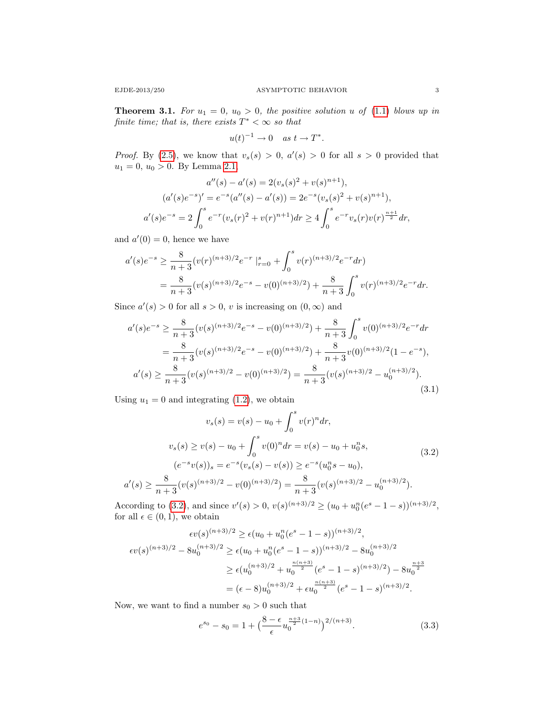**Theorem 3.1.** For  $u_1 = 0$ ,  $u_0 > 0$ , the positive solution u of [\(1.1\)](#page-0-0) blows up in finite time; that is, there exists  $T^* < \infty$  so that

$$
u(t)^{-1} \to 0 \quad as \ t \to T^*.
$$

*Proof.* By [\(2.5\)](#page-1-0), we know that  $v_s(s) > 0$ ,  $a'(s) > 0$  for all  $s > 0$  provided that  $u_1 = 0, u_0 > 0$ . By Lemma [2.1,](#page-1-1)

$$
a''(s) - a'(s) = 2(v_s(s)^2 + v(s)^{n+1}),
$$
  
\n
$$
(a'(s)e^{-s})' = e^{-s}(a''(s) - a'(s)) = 2e^{-s}(v_s(s)^2 + v(s)^{n+1}),
$$
  
\n
$$
a'(s)e^{-s} = 2\int_0^s e^{-r}(v_s(r)^2 + v(r)^{n+1})dr \ge 4\int_0^s e^{-r}v_s(r)v(r)^{\frac{n+1}{2}}dr,
$$

and  $a'(0) = 0$ , hence we have

$$
a'(s)e^{-s} \ge \frac{8}{n+3}(v(r)^{(n+3)/2}e^{-r}|_{r=0}^s + \int_0^s v(r)^{(n+3)/2}e^{-r}dr)
$$
  
= 
$$
\frac{8}{n+3}(v(s)^{(n+3)/2}e^{-s} - v(0)^{(n+3)/2}) + \frac{8}{n+3}\int_0^s v(r)^{(n+3)/2}e^{-r}dr.
$$

Since  $a'(s) > 0$  for all  $s > 0$ , v is increasing on  $(0, \infty)$  and

<span id="page-2-2"></span>
$$
a'(s)e^{-s} \ge \frac{8}{n+3}(v(s)^{(n+3)/2}e^{-s} - v(0)^{(n+3)/2}) + \frac{8}{n+3}\int_0^s v(0)^{(n+3)/2}e^{-r}dr
$$
  
= 
$$
\frac{8}{n+3}(v(s)^{(n+3)/2}e^{-s} - v(0)^{(n+3)/2}) + \frac{8}{n+3}v(0)^{(n+3)/2}(1 - e^{-s}),
$$
  

$$
a'(s) \ge \frac{8}{n+3}(v(s)^{(n+3)/2} - v(0)^{(n+3)/2}) = \frac{8}{n+3}(v(s)^{(n+3)/2} - u_0^{(n+3)/2}).
$$
  
(3.1)

Using  $u_1 = 0$  and integrating [\(1.2\)](#page-0-1), we obtain

<span id="page-2-1"></span>
$$
v_s(s) = v(s) - u_0 + \int_0^s v(r)^n dr,
$$
  
\n
$$
v_s(s) \ge v(s) - u_0 + \int_0^s v(0)^n dr = v(s) - u_0 + u_0^n s,
$$
  
\n
$$
(e^{-s}v(s))_s = e^{-s}(v_s(s) - v(s)) \ge e^{-s}(u_0^n s - u_0),
$$
  
\n
$$
a'(s) \ge \frac{8}{n+3}(v(s)^{(n+3)/2} - v(0)^{(n+3)/2}) = \frac{8}{n+3}(v(s)^{(n+3)/2} - u_0^{(n+3)/2}).
$$
\n(3.2)

According to [\(3.2\)](#page-2-1), and since  $v'(s) > 0$ ,  $v(s)^{(n+3)/2} \ge (u_0 + u_0^n (e^s - 1 - s))^{(n+3)/2}$ , for all  $\epsilon \in (0,1)$ , we obtain

$$
\epsilon v(s)^{(n+3)/2} \ge \epsilon (u_0 + u_0^n (e^s - 1 - s))^{(n+3)/2},
$$
  
\n
$$
\epsilon v(s)^{(n+3)/2} - 8u_0^{(n+3)/2} \ge \epsilon (u_0 + u_0^n (e^s - 1 - s))^{(n+3)/2} - 8u_0^{(n+3)/2}
$$
  
\n
$$
\ge \epsilon (u_0^{(n+3)/2} + u_0^{\frac{n(n+3)}{2}} (e^s - 1 - s)^{(n+3)/2}) - 8u_0^{\frac{n+3}{2}}
$$
  
\n
$$
= (\epsilon - 8)u_0^{(n+3)/2} + \epsilon u_0^{\frac{n(n+3)}{2}} (e^s - 1 - s)^{(n+3)/2}.
$$

Now, we want to find a number  $s_0 > 0$  such that

<span id="page-2-0"></span>
$$
e^{s_0} - s_0 = 1 + \left(\frac{8 - \epsilon}{\epsilon} u_0^{\frac{n+3}{2}(1-n)}\right)^{2/(n+3)}.
$$
 (3.3)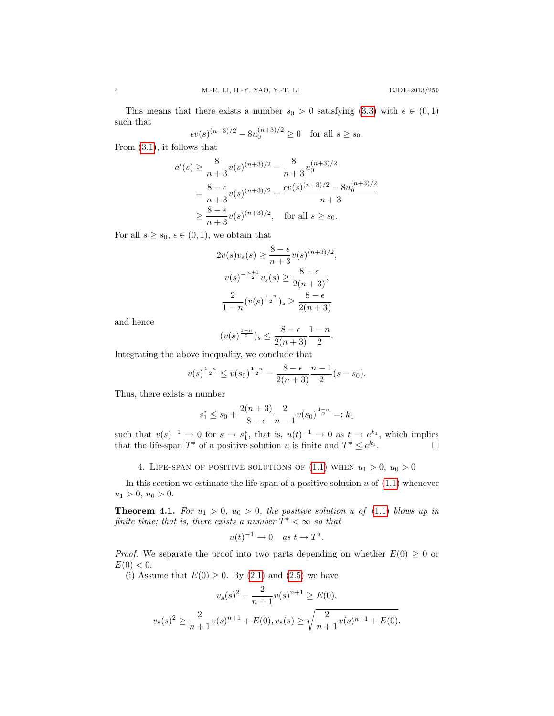This means that there exists a number  $s_0 > 0$  satisfying [\(3.3\)](#page-2-0) with  $\epsilon \in (0,1)$ such that

$$
\epsilon v(s)^{(n+3)/2} - 8u_0^{(n+3)/2} \ge 0
$$
 for all  $s \ge s_0$ .

From [\(3.1\)](#page-2-2), it follows that

$$
a'(s) \ge \frac{8}{n+3}v(s)^{(n+3)/2} - \frac{8}{n+3}u_0^{(n+3)/2}
$$
  
=  $\frac{8-\epsilon}{n+3}v(s)^{(n+3)/2} + \frac{\epsilon v(s)^{(n+3)/2} - 8u_0^{(n+3)/2}}{n+3}$   
 $\ge \frac{8-\epsilon}{n+3}v(s)^{(n+3)/2}$ , for all  $s \ge s_0$ .

For all  $s \geq s_0, \, \epsilon \in (0,1)$ , we obtain that

$$
2v(s)v_s(s) \ge \frac{8-\epsilon}{n+3}v(s)^{(n+3)/2},
$$
  

$$
v(s)^{-\frac{n+1}{2}}v_s(s) \ge \frac{8-\epsilon}{2(n+3)},
$$
  

$$
\frac{2}{1-n}(v(s)^{\frac{1-n}{2}})_{s} \ge \frac{8-\epsilon}{2(n+3)}
$$

and hence

$$
(v(s)^{\frac{1-n}{2}})_{s} \leq \frac{8-\epsilon}{2(n+3)} \frac{1-n}{2}.
$$

Integrating the above inequality, we conclude that

$$
v(s)^{\frac{1-n}{2}} \le v(s_0)^{\frac{1-n}{2}} - \frac{8-\epsilon}{2(n+3)} \frac{n-1}{2}(s-s_0).
$$

Thus, there exists a number

$$
s_1^* \le s_0 + \frac{2(n+3)}{8 - \epsilon} \frac{2}{n-1} v(s_0)^{\frac{1-n}{2}} =: k_1
$$

such that  $v(s)^{-1} \to 0$  for  $s \to s_1^*$ , that is,  $u(t)^{-1} \to 0$  as  $t \to e^{k_1}$ , which implies that the life-span  $T^*$  of a positive solution u is finite and  $T^* \leq e^{k_1}$ . — П

4. LIFE-SPAN OF POSITIVE SOLUTIONS OF  $(1.1)$  WHEN  $u_1 > 0$ ,  $u_0 > 0$ 

In this section we estimate the life-span of a positive solution  $u$  of  $(1.1)$  whenever  $u_1 > 0, u_0 > 0.$ 

<span id="page-3-0"></span>**Theorem 4.1.** For  $u_1 > 0$ ,  $u_0 > 0$ , the positive solution u of [\(1.1\)](#page-0-0) blows up in finite time; that is, there exists a number  $T^* < \infty$  so that

$$
u(t)^{-1} \to 0 \quad as \ t \to T^*.
$$

*Proof.* We separate the proof into two parts depending on whether  $E(0) \geq 0$  or  $E(0) < 0.$ 

(i) Assume that  $E(0) \geq 0$ . By  $(2.1)$  and  $(2.5)$  we have

$$
v_s(s)^2 - \frac{2}{n+1}v(s)^{n+1} \ge E(0),
$$
  

$$
v_s(s)^2 \ge \frac{2}{n+1}v(s)^{n+1} + E(0), v_s(s) \ge \sqrt{\frac{2}{n+1}v(s)^{n+1} + E(0)}.
$$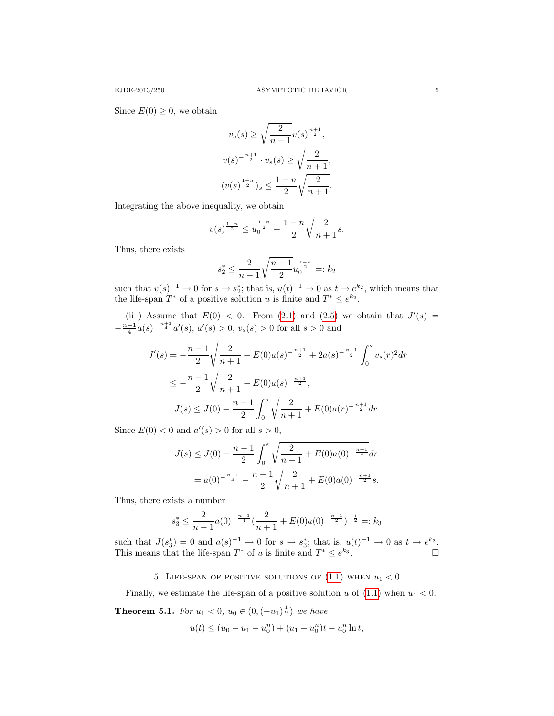Since  $E(0) \geq 0$ , we obtain

$$
v_s(s) \ge \sqrt{\frac{2}{n+1}} v(s)^{\frac{n+1}{2}},
$$
  

$$
v(s)^{-\frac{n+1}{2}} \cdot v_s(s) \ge \sqrt{\frac{2}{n+1}},
$$
  

$$
(v(s)^{\frac{1-n}{2}}) s \le \frac{1-n}{2} \sqrt{\frac{2}{n+1}}.
$$

Integrating the above inequality, we obtain

$$
v(s)^{\frac{1-n}{2}} \le u_0^{\frac{1-n}{2}} + \frac{1-n}{2} \sqrt{\frac{2}{n+1}} s.
$$

Thus, there exists

$$
s_2^* \le \frac{2}{n-1} \sqrt{\frac{n+1}{2}} u_0^{\frac{1-n}{2}} =: k_2
$$

such that  $v(s)^{-1} \to 0$  for  $s \to s_2^*$ ; that is,  $u(t)^{-1} \to 0$  as  $t \to e^{k_2}$ , which means that the life-span  $T^*$  of a positive solution u is finite and  $T^* \leq e^{k_2}$ .

(ii) Assume that  $E(0) < 0$ . From [\(2.1\)](#page-1-2) and [\(2.5\)](#page-1-0) we obtain that  $J'(s) =$  $-\frac{n-1}{4}a(s)^{-\frac{n+3}{4}}a'(s), a'(s) > 0, v_s(s) > 0$  for all  $s > 0$  and

$$
J'(s) = -\frac{n-1}{2} \sqrt{\frac{2}{n+1} + E(0)a(s)^{-\frac{n+1}{2}} + 2a(s)^{-\frac{n+1}{2}} \int_0^s v_s(r)^2 dr}
$$
  

$$
\leq -\frac{n-1}{2} \sqrt{\frac{2}{n+1} + E(0)a(s)^{-\frac{n+1}{2}}},
$$
  

$$
J(s) \leq J(0) - \frac{n-1}{2} \int_0^s \sqrt{\frac{2}{n+1} + E(0)a(r)^{-\frac{n+1}{2}}} dr.
$$

Since  $E(0) < 0$  and  $a'(s) > 0$  for all  $s > 0$ ,

$$
J(s) \leq J(0) - \frac{n-1}{2} \int_0^s \sqrt{\frac{2}{n+1} + E(0)a(0)^{-\frac{n+1}{2}}} dr
$$
  
=  $a(0)^{-\frac{n-1}{4}} - \frac{n-1}{2} \sqrt{\frac{2}{n+1} + E(0)a(0)^{-\frac{n+1}{2}}} s.$ 

Thus, there exists a number

$$
s_3^* \le \frac{2}{n-1}a(0)^{-\frac{n-1}{4}}(\frac{2}{n+1} + E(0)a(0)^{-\frac{n+1}{2}})^{-\frac{1}{2}} =: k_3
$$

such that  $J(s_3^*) = 0$  and  $a(s)^{-1} \to 0$  for  $s \to s_3^*$ ; that is,  $u(t)^{-1} \to 0$  as  $t \to e^{k_3}$ . This means that the life-span  $T^*$  of u is finite and  $T^* \leq e^{k_3}$ .

5. LIFE-SPAN OF POSITIVE SOLUTIONS OF  $(1.1)$  WHEN  $u_1 < 0$ 

Finally, we estimate the life-span of a positive solution u of  $(1.1)$  when  $u_1 < 0$ .

**Theorem 5.1.** For  $u_1 < 0$ ,  $u_0 \in (0, (-u_1)^{\frac{1}{n}})$  we have

$$
u(t) \le (u_0 - u_1 - u_0^n) + (u_1 + u_0^n)t - u_0^n \ln t,
$$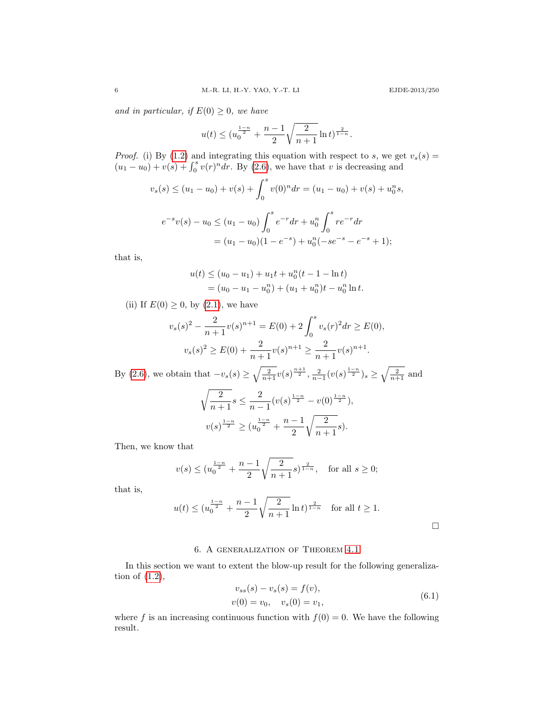and in particular, if  $E(0) \geq 0$ , we have

$$
u(t) \le (u_0^{\frac{1-n}{2}} + \frac{n-1}{2} \sqrt{\frac{2}{n+1}} \ln t)^{\frac{2}{1-n}}.
$$

*Proof.* (i) By [\(1.2\)](#page-0-1) and integrating this equation with respect to s, we get  $v_s(s)$  =  $(u_1 - u_0) + v(s) + \int_0^s v(r)^n dr$ . By [\(2.6\)](#page-1-3), we have that v is decreasing and

$$
v_s(s) \le (u_1 - u_0) + v(s) + \int_0^s v(0)^n dr = (u_1 - u_0) + v(s) + u_0^n s,
$$
  

$$
e^{-s}v(s) - u_0 \le (u_1 - u_0) \int_0^s e^{-r} dr + u_0^n \int_0^s r e^{-r} dr
$$
  

$$
= (u_1 - u_0)(1 - e^{-s}) + u_0^n (-se^{-s} - e^{-s} + 1);
$$

that is,

$$
u(t) \le (u_0 - u_1) + u_1 t + u_0^n (t - 1 - \ln t)
$$
  
=  $(u_0 - u_1 - u_0^n) + (u_1 + u_0^n) t - u_0^n \ln t.$ 

(ii) If  $E(0) \geq 0$ , by  $(2.1)$ , we have

$$
v_s(s)^2 - \frac{2}{n+1}v(s)^{n+1} = E(0) + 2\int_0^s v_s(r)^2 dr \ge E(0),
$$
  

$$
v_s(s)^2 \ge E(0) + \frac{2}{n+1}v(s)^{n+1} \ge \frac{2}{n+1}v(s)^{n+1}.
$$

By [\(2.6\)](#page-1-3), we obtain that  $-v_s(s) \ge \sqrt{\frac{2}{n+1}} v(s)^{\frac{n+1}{2}}, \frac{2}{n-1} (v(s)^{\frac{1-n}{2}}) s \ge \sqrt{\frac{2}{n+1}}$  and

$$
\sqrt{\frac{2}{n+1}}s \le \frac{2}{n-1}(v(s)^{\frac{1-n}{2}} - v(0)^{\frac{1-n}{2}}),
$$
  

$$
v(s)^{\frac{1-n}{2}} \ge (u_0^{\frac{1-n}{2}} + \frac{n-1}{2}\sqrt{\frac{2}{n+1}}s).
$$

Then, we know that

$$
v(s) \le (u_0^{\frac{1-n}{2}} + \frac{n-1}{2} \sqrt{\frac{2}{n+1}} s)^{\frac{2}{1-n}}, \text{ for all } s \ge 0;
$$

that is,

$$
u(t) \le (u_0^{\frac{1-n}{2}} + \frac{n-1}{2} \sqrt{\frac{2}{n+1}} \ln t)^{\frac{2}{1-n}}
$$
 for all  $t \ge 1$ .

## 6. A generalization of Theorem [4.1](#page-3-0)

In this section we want to extent the blow-up result for the following generalization of [\(1.2\)](#page-0-1),

<span id="page-5-0"></span>
$$
v_{ss}(s) - v_s(s) = f(v),
$$
  
\n
$$
v(0) = v_0, \quad v_s(0) = v_1,
$$
\n(6.1)

<span id="page-5-1"></span>where f is an increasing continuous function with  $f(0) = 0$ . We have the following result.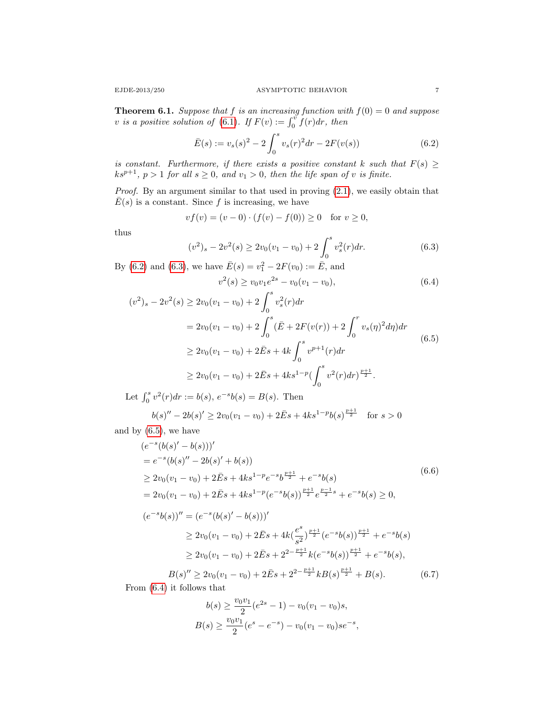**Theorem 6.1.** Suppose that f is an increasing function with  $f(0) = 0$  and suppose v is a positive solution of [\(6.1\)](#page-5-0). If  $F(v) := \int_0^v f(r) dr$ , then

<span id="page-6-0"></span>
$$
\bar{E}(s) := v_s(s)^2 - 2\int_0^s v_s(r)^2 dr - 2F(v(s))
$$
\n(6.2)

is constant. Furthermore, if there exists a positive constant k such that  $F(s) \geq$  $ks^{p+1}$ ,  $p > 1$  for all  $s \ge 0$ , and  $v_1 > 0$ , then the life span of v is finite.

Proof. By an argument similar to that used in proving  $(2.1)$ , we easily obtain that  $E(s)$  is a constant. Since f is increasing, we have

$$
vf(v) = (v - 0) \cdot (f(v) - f(0)) \ge 0 \text{ for } v \ge 0,
$$

thus

<span id="page-6-1"></span>
$$
(v^2)_s - 2v^2(s) \ge 2v_0(v_1 - v_0) + 2\int_0^s v_s^2(r)dr.
$$
\n(6.3)

By [\(6.2\)](#page-6-0) and [\(6.3\)](#page-6-1), we have  $\bar{E}(s) = v_1^2 - 2F(v_0) := \bar{E}$ , and

<span id="page-6-3"></span><span id="page-6-2"></span>
$$
v^2(s) \ge v_0 v_1 e^{2s} - v_0 (v_1 - v_0),
$$
\n(6.4)

$$
(v^2)_s - 2v^2(s) \ge 2v_0(v_1 - v_0) + 2\int_0^s v_s^2(r)dr
$$
  
=  $2v_0(v_1 - v_0) + 2\int_0^s (\bar{E} + 2F(v(r)) + 2\int_0^r v_s(\eta)^2 d\eta)dr$   
 $\ge 2v_0(v_1 - v_0) + 2\bar{E}s + 4k\int_0^s v^{p+1}(r)dr$   
 $\ge 2v_0(v_1 - v_0) + 2\bar{E}s + 4ks^{1-p}(\int_0^s v^2(r)dr)^{\frac{p+1}{2}}.$  (6.5)

Let  $\int_0^s v^2(r)dr := b(s), e^{-s}b(s) = B(s)$ . Then

$$
b(s)'' - 2b(s)' \ge 2v_0(v_1 - v_0) + 2\bar{E}s + 4ks^{1-p}b(s)^{\frac{p+1}{2}} \quad \text{for } s > 0
$$

and by [\(6.5\)](#page-6-2), we have

$$
(e^{-s}(b(s)' - b(s)))'
$$
  
\n
$$
= e^{-s}(b(s)'' - 2b(s)' + b(s))
$$
  
\n
$$
\ge 2v_0(v_1 - v_0) + 2\bar{E}s + 4ks^{1-p}e^{-s}b^{\frac{p+1}{2}} + e^{-s}b(s)
$$
  
\n
$$
= 2v_0(v_1 - v_0) + 2\bar{E}s + 4ks^{1-p}(e^{-s}b(s))^{\frac{p+1}{2}}e^{\frac{p-1}{2}s} + e^{-s}b(s) \ge 0,
$$
  
\n
$$
(e^{-s}b(s))'' = (e^{-s}(b(s)' - b(s)))'
$$
  
\n
$$
\ge 2v_0(v_1 - v_0) + 2\bar{E}s + 4k(\frac{e^{s}}{s^2})^{\frac{p+1}{2}}(e^{-s}b(s))^{\frac{p+1}{2}} + e^{-s}b(s)
$$
  
\n
$$
\ge 2v_0(v_1 - v_0) + 2\bar{E}s + 2^{2-\frac{p+1}{2}}k(e^{-s}b(s))^{\frac{p+1}{2}} + e^{-s}b(s),
$$
  
\n
$$
B(s)'' \ge 2v_0(v_1 - v_0) + 2\bar{E}s + 2^{2-\frac{p+1}{2}}kB(s)^{\frac{p+1}{2}} + B(s).
$$
 (6.7)

From [\(6.4\)](#page-6-3) it follows that

<span id="page-6-4"></span>
$$
b(s) \ge \frac{v_0 v_1}{2} (e^{2s} - 1) - v_0 (v_1 - v_0)s,
$$
  

$$
B(s) \ge \frac{v_0 v_1}{2} (e^s - e^{-s}) - v_0 (v_1 - v_0) s e^{-s},
$$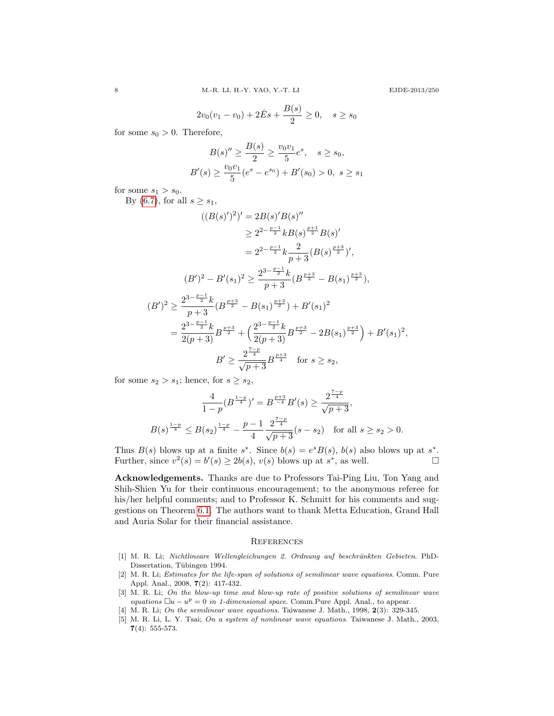$2v_0(v_1-v_0)+2\bar{E}s+\frac{B(s)}{2}$  $\frac{y}{2} \geq 0, \quad s \geq s_0$ 

for some  $s_0 > 0$ . Therefore,

$$
B(s)'' \ge \frac{B(s)}{2} \ge \frac{v_0 v_1}{5} e^s, \quad s \ge s_0,
$$
  

$$
B'(s) \ge \frac{v_0 v_1}{5} (e^s - e^{s_0}) + B'(s_0) > 0, \ s \ge s_1
$$

for some  $s_1 > s_0$ .

By [\(6.7\)](#page-6-4), for all  $s \geq s_1$ ,

$$
((B(s)')^{2})' = 2B(s)'B(s)''
$$
  
\n
$$
\geq 2^{2-\frac{p-1}{2}}kB(s)^{\frac{p+1}{2}}B(s)'
$$
  
\n
$$
= 2^{2-\frac{p-1}{2}}k\frac{2}{p+3}(B(s)^{\frac{p+3}{2}})',
$$
  
\n
$$
(B')^{2} - B'(s_{1})^{2} \geq \frac{2^{3-\frac{p-1}{2}}k}{p+3}(B^{\frac{p+3}{2}} - B(s_{1})^{\frac{p+3}{2}}),
$$
  
\n
$$
(B')^{2} \geq \frac{2^{3-\frac{p-1}{2}}k}{p+3}(B^{\frac{p+3}{2}} - B(s_{1})^{\frac{p+3}{2}}) + B'(s_{1})^{2}
$$
  
\n
$$
= \frac{2^{3-\frac{p-1}{2}}k}{2(p+3)}B^{\frac{p+3}{2}} + \left(\frac{2^{3-\frac{p-1}{2}}k}{2(p+3)}B^{\frac{p+3}{2}} - 2B(s_{1})^{\frac{p+3}{2}}\right) + B'(s_{1})^{2},
$$
  
\n
$$
B' \geq \frac{2^{\frac{7-p}{4}}}{\sqrt{p+3}}B^{\frac{p+3}{4}} \quad \text{for } s \geq s_{2},
$$

for some  $s_2 > s_1$ ; hence, for  $s \geq s_2$ ,

$$
\frac{4}{1-p}(B^{\frac{1-p}{4}})' = B^{\frac{p+3}{4}}B'(s) \ge \frac{2^{\frac{7-p}{4}}}{\sqrt{p+3}},
$$
  

$$
B(s)^{\frac{1-p}{4}} \le B(s_2)^{\frac{1-p}{4}} - \frac{p-1}{4} \frac{2^{\frac{7-p}{4}}}{\sqrt{p+3}}(s-s_2) \text{ for all } s \ge s_2 > 0.
$$

Thus  $B(s)$  blows up at a finite  $s^*$ . Since  $b(s) = e^s B(s)$ ,  $b(s)$  also blows up at  $s^*$ . Further, since  $v^2(s) = b'(s) \ge 2b(s), v(s)$  blows up at  $s^*$ , as well.

Acknowledgements. Thanks are due to Professors Tai-Ping Liu, Ton Yang and Shih-Shien Yu for their continuous encouragement; to the anonymous referee for his/her helpful comments; and to Professor K. Schmitt for his comments and suggestions on Theorem [6.1.](#page-5-1) The authors want to thank Metta Education, Grand Hall and Auria Solar for their financial assistance.

### **REFERENCES**

- [1] M. R. Li; Nichtlineare Wellengleichungen 2. Ordnung auf beschränkten Gebieten. PhD-Dissertation, Tübingen 1994.
- [2] M. R. Li; Estimates for the life-span of solutions of semilinear wave equations. Comm. Pure Appl. Anal., 2008, 7(2): 417-432.
- [3] M. R. Li; On the blow-up time and blow-up rate of positive solutions of semilinear wave equations  $\Box u - u^p = 0$  in 1-dimensional space. Comm. Pure Appl. Anal., to appear.
- M. R. Li; On the semilinear wave equations. Taiwanese J. Math., 1998, 2(3): 329-345.
- [5] M. R. Li, L. Y. Tsai; On a system of nonlinear wave equations. Taiwanese J. Math., 2003, 7(4): 555-573.